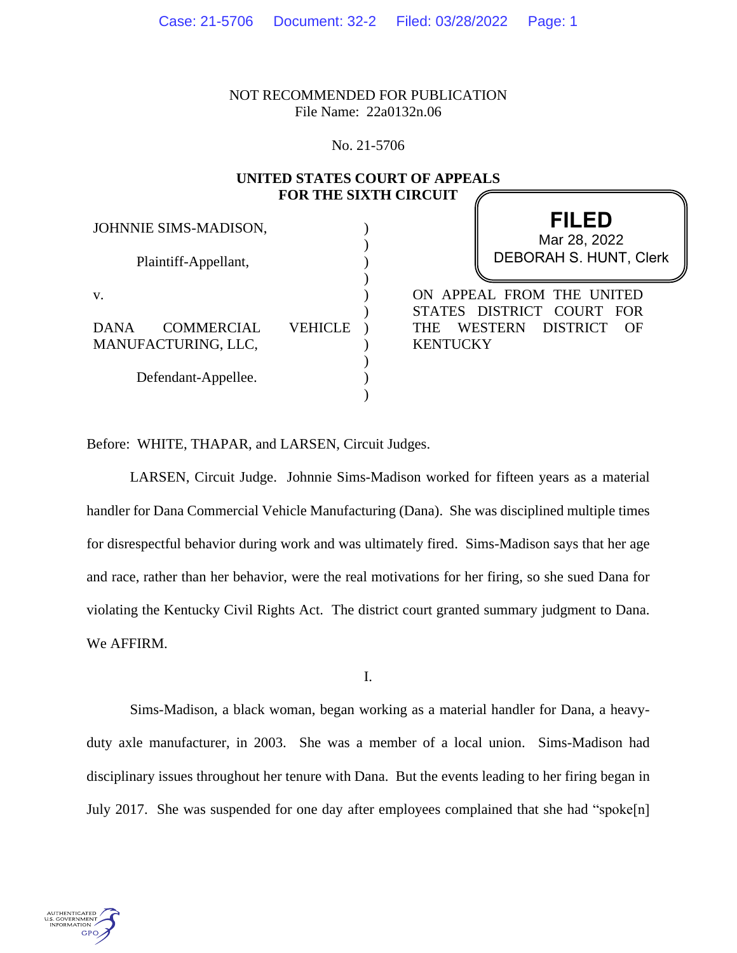NOT RECOMMENDED FOR PUBLICATION File Name: 22a0132n.06

No. 21-5706

# **UNITED STATES COURT OF APPEALS FOR THE SIXTH CIRCUIT**

| JOHNNIE SIMS-MADISON,                                         |         | <b>FILED</b><br>Mar 28, 2022                                                                                                                 |
|---------------------------------------------------------------|---------|----------------------------------------------------------------------------------------------------------------------------------------------|
| Plaintiff-Appellant,                                          |         | <b>DEBORAH S. HUNT, Clerk</b>                                                                                                                |
| V.<br><b>DANA</b><br><b>COMMERCIAL</b><br>MANUFACTURING, LLC, | VEHICLE | ON APPEAL FROM THE UNITED<br>DISTRICT COURT FOR<br><b>STATES</b><br><b>WESTERN</b><br><b>DISTRICT</b><br><b>THE</b><br>OF<br><b>KENTUCKY</b> |
| Defendant-Appellee.                                           |         |                                                                                                                                              |

Before: WHITE, THAPAR, and LARSEN, Circuit Judges.

LARSEN, Circuit Judge. Johnnie Sims-Madison worked for fifteen years as a material handler for Dana Commercial Vehicle Manufacturing (Dana). She was disciplined multiple times for disrespectful behavior during work and was ultimately fired. Sims-Madison says that her age and race, rather than her behavior, were the real motivations for her firing, so she sued Dana for violating the Kentucky Civil Rights Act. The district court granted summary judgment to Dana. We AFFIRM.

I.

Sims-Madison, a black woman, began working as a material handler for Dana, a heavyduty axle manufacturer, in 2003. She was a member of a local union. Sims-Madison had disciplinary issues throughout her tenure with Dana. But the events leading to her firing began in July 2017. She was suspended for one day after employees complained that she had "spoke[n]

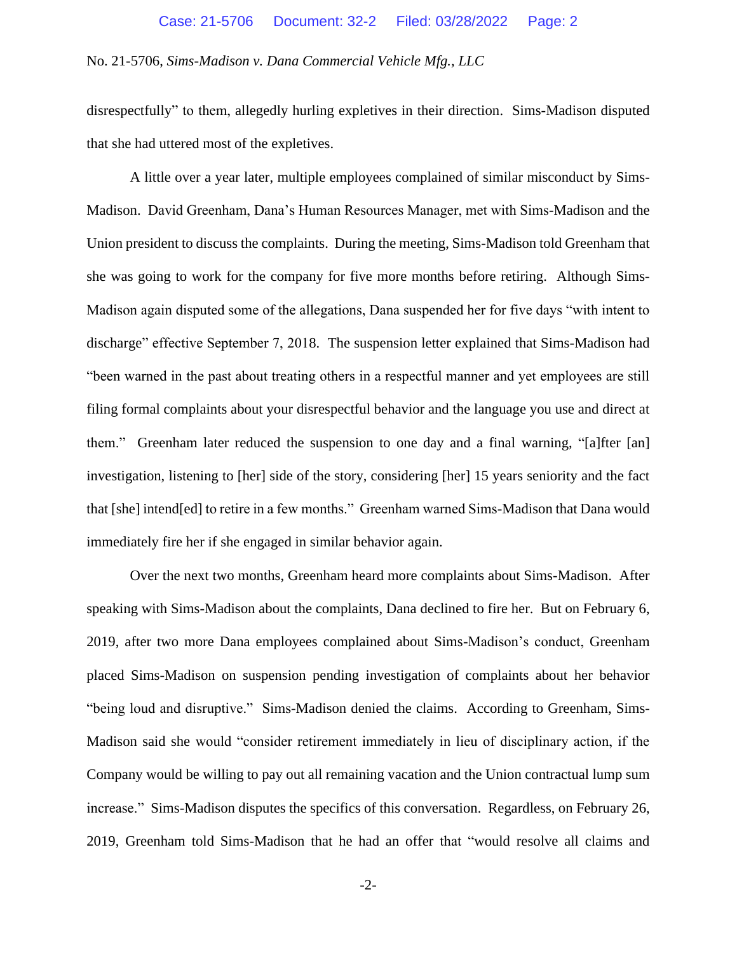disrespectfully" to them, allegedly hurling expletives in their direction. Sims-Madison disputed that she had uttered most of the expletives.

A little over a year later, multiple employees complained of similar misconduct by Sims-Madison. David Greenham, Dana's Human Resources Manager, met with Sims-Madison and the Union president to discuss the complaints. During the meeting, Sims-Madison told Greenham that she was going to work for the company for five more months before retiring. Although Sims-Madison again disputed some of the allegations, Dana suspended her for five days "with intent to discharge" effective September 7, 2018. The suspension letter explained that Sims-Madison had "been warned in the past about treating others in a respectful manner and yet employees are still filing formal complaints about your disrespectful behavior and the language you use and direct at them." Greenham later reduced the suspension to one day and a final warning, "[a]fter [an] investigation, listening to [her] side of the story, considering [her] 15 years seniority and the fact that [she] intend[ed] to retire in a few months." Greenham warned Sims-Madison that Dana would immediately fire her if she engaged in similar behavior again.

Over the next two months, Greenham heard more complaints about Sims-Madison. After speaking with Sims-Madison about the complaints, Dana declined to fire her. But on February 6, 2019, after two more Dana employees complained about Sims-Madison's conduct, Greenham placed Sims-Madison on suspension pending investigation of complaints about her behavior "being loud and disruptive." Sims-Madison denied the claims. According to Greenham, Sims-Madison said she would "consider retirement immediately in lieu of disciplinary action, if the Company would be willing to pay out all remaining vacation and the Union contractual lump sum increase." Sims-Madison disputes the specifics of this conversation. Regardless, on February 26, 2019, Greenham told Sims-Madison that he had an offer that "would resolve all claims and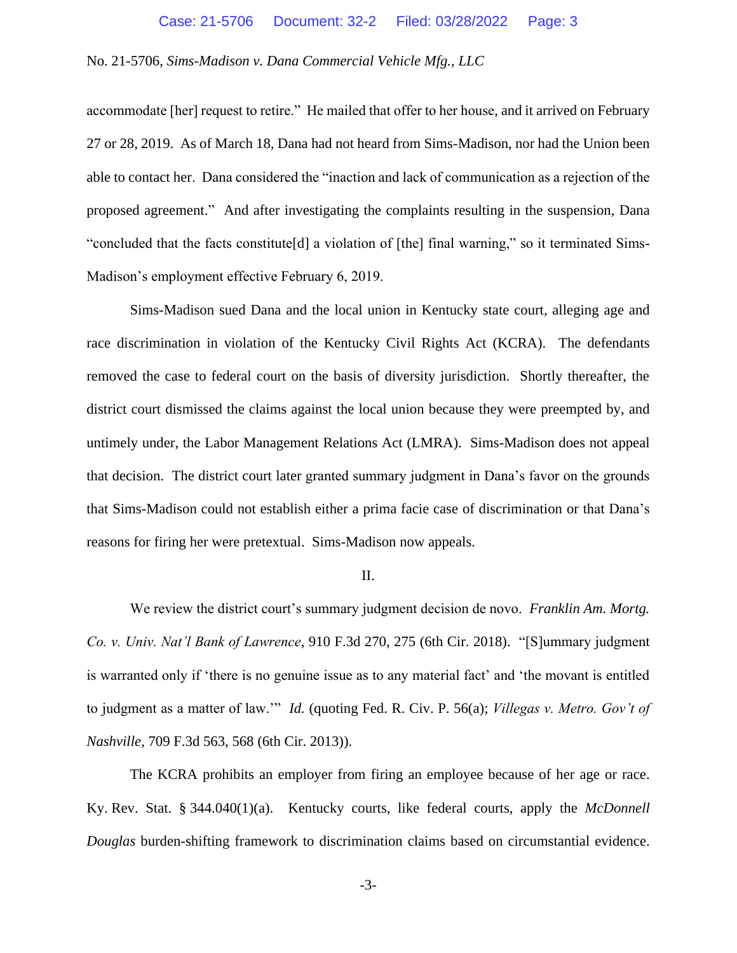accommodate [her] request to retire." He mailed that offer to her house, and it arrived on February 27 or 28, 2019. As of March 18, Dana had not heard from Sims-Madison, nor had the Union been able to contact her. Dana considered the "inaction and lack of communication as a rejection of the proposed agreement." And after investigating the complaints resulting in the suspension, Dana "concluded that the facts constitute[d] a violation of [the] final warning," so it terminated Sims-Madison's employment effective February 6, 2019.

Sims-Madison sued Dana and the local union in Kentucky state court, alleging age and race discrimination in violation of the Kentucky Civil Rights Act (KCRA). The defendants removed the case to federal court on the basis of diversity jurisdiction. Shortly thereafter, the district court dismissed the claims against the local union because they were preempted by, and untimely under, the Labor Management Relations Act (LMRA). Sims-Madison does not appeal that decision. The district court later granted summary judgment in Dana's favor on the grounds that Sims-Madison could not establish either a prima facie case of discrimination or that Dana's reasons for firing her were pretextual. Sims-Madison now appeals.

#### II.

We review the district court's summary judgment decision de novo. *Franklin Am. Mortg. Co. v. Univ. Nat'l Bank of Lawrence*, 910 F.3d 270, 275 (6th Cir. 2018). "[S]ummary judgment is warranted only if 'there is no genuine issue as to any material fact' and 'the movant is entitled to judgment as a matter of law.'" *Id.* (quoting Fed. R. Civ. P. 56(a); *Villegas v. Metro. Gov't of Nashville*, 709 F.3d 563, 568 (6th Cir. 2013)).

The KCRA prohibits an employer from firing an employee because of her age or race. Ky. Rev. Stat. § 344.040(1)(a). Kentucky courts, like federal courts, apply the *McDonnell Douglas* burden-shifting framework to discrimination claims based on circumstantial evidence.

-3-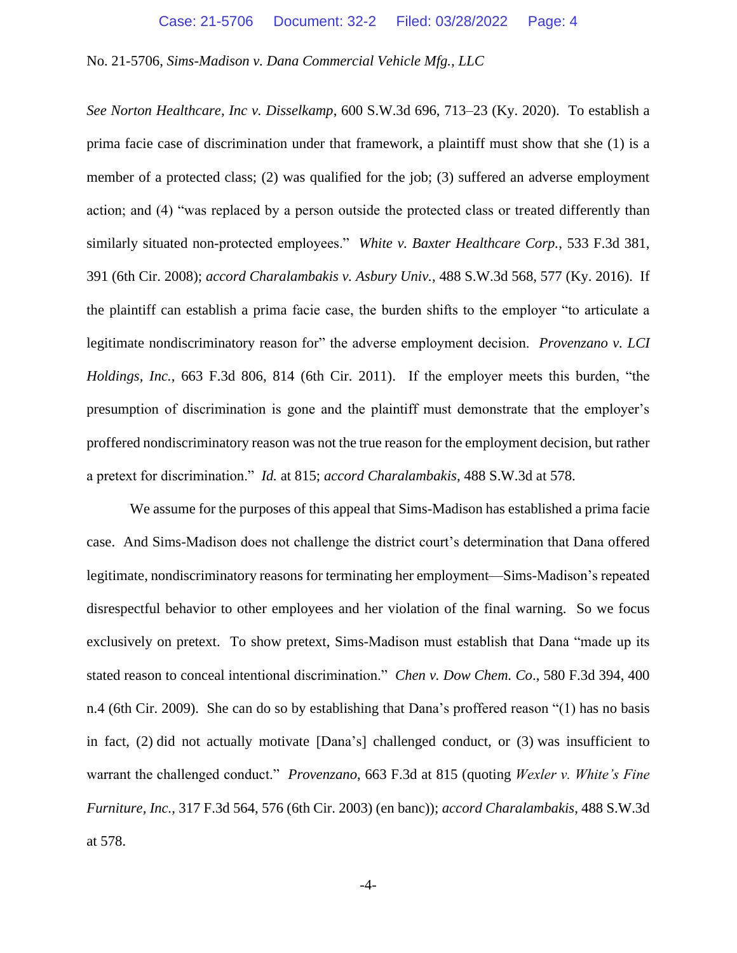*See Norton Healthcare, Inc v. Disselkamp*, 600 S.W.3d 696, 713–23 (Ky. 2020). To establish a prima facie case of discrimination under that framework, a plaintiff must show that she (1) is a member of a protected class; (2) was qualified for the job; (3) suffered an adverse employment action; and (4) "was replaced by a person outside the protected class or treated differently than similarly situated non-protected employees." *White v. Baxter Healthcare Corp.*, 533 F.3d 381, 391 (6th Cir. 2008); *accord Charalambakis v. Asbury Univ.*, 488 S.W.3d 568, 577 (Ky. 2016). If the plaintiff can establish a prima facie case, the burden shifts to the employer "to articulate a legitimate nondiscriminatory reason for" the adverse employment decision. *Provenzano v. LCI Holdings, Inc.*, 663 F.3d 806, 814 (6th Cir. 2011). If the employer meets this burden, "the presumption of discrimination is gone and the plaintiff must demonstrate that the employer's proffered nondiscriminatory reason was not the true reason for the employment decision, but rather a pretext for discrimination." *Id.* at 815; *accord Charalambakis*, 488 S.W.3d at 578.

We assume for the purposes of this appeal that Sims-Madison has established a prima facie case. And Sims-Madison does not challenge the district court's determination that Dana offered legitimate, nondiscriminatory reasons for terminating her employment—Sims-Madison's repeated disrespectful behavior to other employees and her violation of the final warning. So we focus exclusively on pretext. To show pretext, Sims-Madison must establish that Dana "made up its stated reason to conceal intentional discrimination." *Chen v. Dow Chem. Co*., 580 F.3d 394, 400 n.4 (6th Cir. 2009). She can do so by establishing that Dana's proffered reason "(1) has no basis in fact, (2) did not actually motivate [Dana's] challenged conduct, or (3) was insufficient to warrant the challenged conduct." *Provenzano*, 663 F.3d at 815 (quoting *Wexler v. White's Fine Furniture, Inc.*, 317 F.3d 564, 576 (6th Cir. 2003) (en banc)); *accord Charalambakis*, 488 S.W.3d at 578.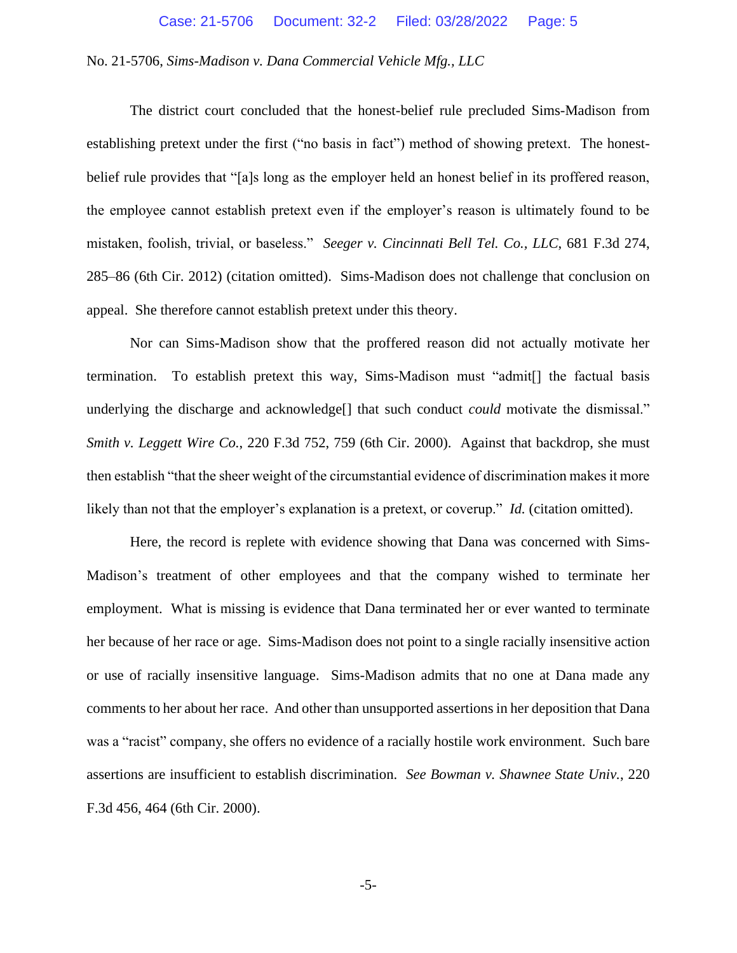The district court concluded that the honest-belief rule precluded Sims-Madison from establishing pretext under the first ("no basis in fact") method of showing pretext. The honestbelief rule provides that "[a]s long as the employer held an honest belief in its proffered reason, the employee cannot establish pretext even if the employer's reason is ultimately found to be mistaken, foolish, trivial, or baseless." *Seeger v. Cincinnati Bell Tel. Co., LLC*, 681 F.3d 274, 285–86 (6th Cir. 2012) (citation omitted). Sims-Madison does not challenge that conclusion on appeal. She therefore cannot establish pretext under this theory.

Nor can Sims-Madison show that the proffered reason did not actually motivate her termination. To establish pretext this way, Sims-Madison must "admit[] the factual basis underlying the discharge and acknowledge<sup>[]</sup> that such conduct *could* motivate the dismissal." *Smith v. Leggett Wire Co.*, 220 F.3d 752, 759 (6th Cir. 2000). Against that backdrop, she must then establish "that the sheer weight of the circumstantial evidence of discrimination makes it more likely than not that the employer's explanation is a pretext, or coverup." *Id.* (citation omitted).

Here, the record is replete with evidence showing that Dana was concerned with Sims-Madison's treatment of other employees and that the company wished to terminate her employment. What is missing is evidence that Dana terminated her or ever wanted to terminate her because of her race or age. Sims-Madison does not point to a single racially insensitive action or use of racially insensitive language. Sims-Madison admits that no one at Dana made any comments to her about her race. And other than unsupported assertions in her deposition that Dana was a "racist" company, she offers no evidence of a racially hostile work environment. Such bare assertions are insufficient to establish discrimination. *See Bowman v. Shawnee State Univ.*, 220 F.3d 456, 464 (6th Cir. 2000).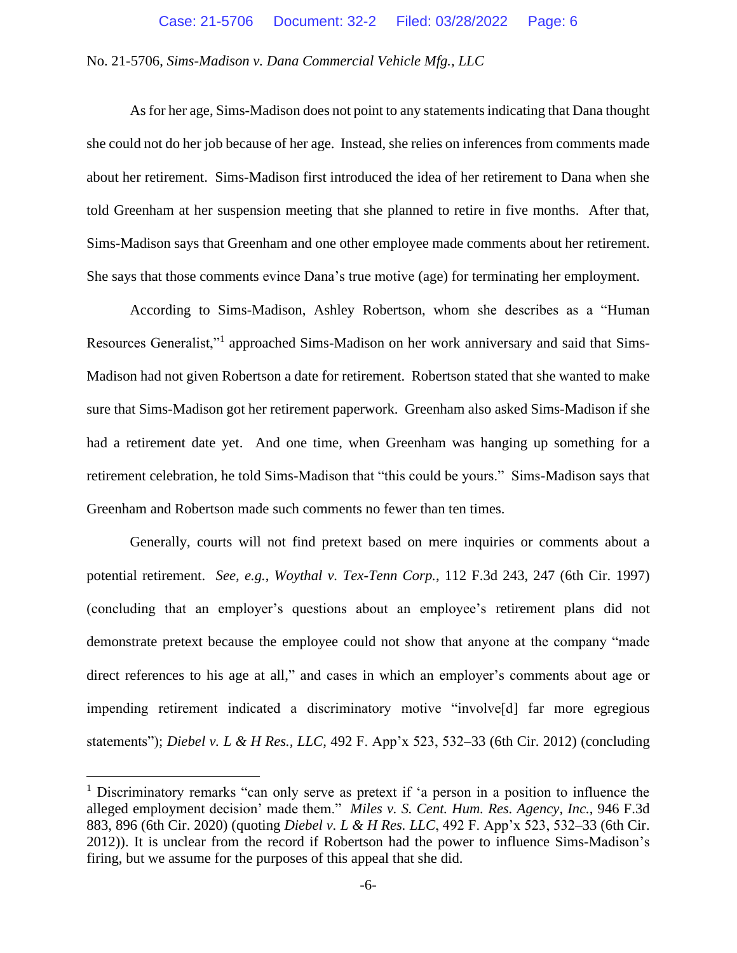As for her age, Sims-Madison does not point to any statementsindicating that Dana thought she could not do her job because of her age. Instead, she relies on inferences from comments made about her retirement. Sims-Madison first introduced the idea of her retirement to Dana when she told Greenham at her suspension meeting that she planned to retire in five months. After that, Sims-Madison says that Greenham and one other employee made comments about her retirement. She says that those comments evince Dana's true motive (age) for terminating her employment.

According to Sims-Madison, Ashley Robertson, whom she describes as a "Human Resources Generalist,"<sup>1</sup> approached Sims-Madison on her work anniversary and said that Sims-Madison had not given Robertson a date for retirement. Robertson stated that she wanted to make sure that Sims-Madison got her retirement paperwork. Greenham also asked Sims-Madison if she had a retirement date yet. And one time, when Greenham was hanging up something for a retirement celebration, he told Sims-Madison that "this could be yours." Sims-Madison says that Greenham and Robertson made such comments no fewer than ten times.

Generally, courts will not find pretext based on mere inquiries or comments about a potential retirement. *See, e.g.*, *Woythal v. Tex-Tenn Corp.*, 112 F.3d 243, 247 (6th Cir. 1997) (concluding that an employer's questions about an employee's retirement plans did not demonstrate pretext because the employee could not show that anyone at the company "made direct references to his age at all," and cases in which an employer's comments about age or impending retirement indicated a discriminatory motive "involve[d] far more egregious statements"); *Diebel v. L & H Res., LLC*, 492 F. App'x 523, 532–33 (6th Cir. 2012) (concluding

<sup>&</sup>lt;sup>1</sup> Discriminatory remarks "can only serve as pretext if 'a person in a position to influence the alleged employment decision' made them." *Miles v. S. Cent. Hum. Res. Agency, Inc.*, 946 F.3d 883, 896 (6th Cir. 2020) (quoting *Diebel v. L & H Res. LLC*, 492 F. App'x 523, 532–33 (6th Cir. 2012)). It is unclear from the record if Robertson had the power to influence Sims-Madison's firing, but we assume for the purposes of this appeal that she did.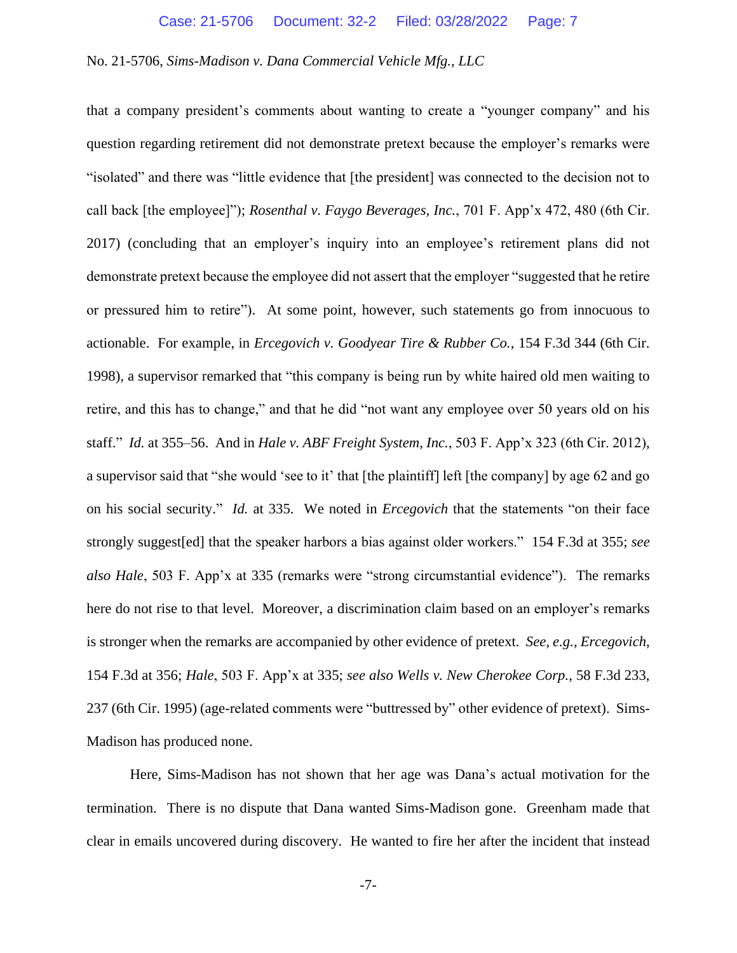that a company president's comments about wanting to create a "younger company" and his question regarding retirement did not demonstrate pretext because the employer's remarks were "isolated" and there was "little evidence that [the president] was connected to the decision not to call back [the employee]"); *Rosenthal v. Faygo Beverages, Inc.*, 701 F. App'x 472, 480 (6th Cir. 2017) (concluding that an employer's inquiry into an employee's retirement plans did not demonstrate pretext because the employee did not assert that the employer "suggested that he retire or pressured him to retire"). At some point, however, such statements go from innocuous to actionable. For example, in *Ercegovich v. Goodyear Tire & Rubber Co.*, 154 F.3d 344 (6th Cir. 1998), a supervisor remarked that "this company is being run by white haired old men waiting to retire, and this has to change," and that he did "not want any employee over 50 years old on his staff." *Id.* at 355–56. And in *Hale v. ABF Freight System, Inc.*, 503 F. App'x 323 (6th Cir. 2012), a supervisor said that "she would 'see to it' that [the plaintiff] left [the company] by age 62 and go on his social security." *Id.* at 335. We noted in *Ercegovich* that the statements "on their face strongly suggest[ed] that the speaker harbors a bias against older workers." 154 F.3d at 355; *see also Hale*, 503 F. App'x at 335 (remarks were "strong circumstantial evidence"). The remarks here do not rise to that level. Moreover, a discrimination claim based on an employer's remarks is stronger when the remarks are accompanied by other evidence of pretext. *See, e.g.*, *Ercegovich*, 154 F.3d at 356; *Hale*, 503 F. App'x at 335; *see also Wells v. New Cherokee Corp.*, 58 F.3d 233, 237 (6th Cir. 1995) (age-related comments were "buttressed by" other evidence of pretext). Sims-Madison has produced none.

Here, Sims-Madison has not shown that her age was Dana's actual motivation for the termination. There is no dispute that Dana wanted Sims-Madison gone. Greenham made that clear in emails uncovered during discovery. He wanted to fire her after the incident that instead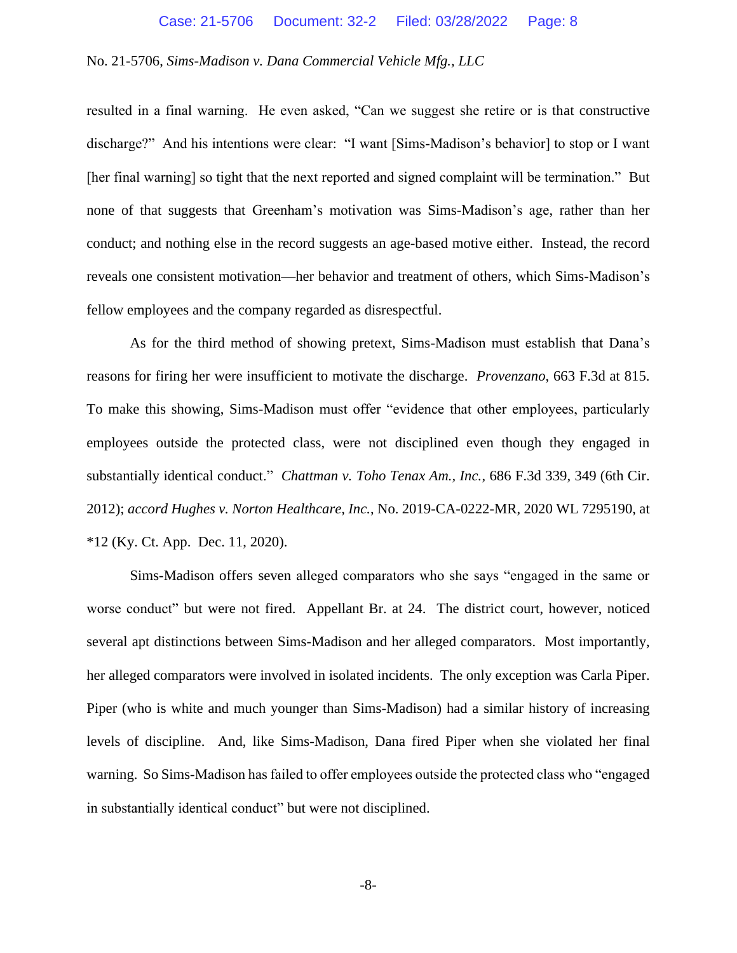#### Case: 21-5706 Document: 32-2 Filed: 03/28/2022 Page: 8

## No. 21-5706, *Sims-Madison v. Dana Commercial Vehicle Mfg., LLC*

resulted in a final warning. He even asked, "Can we suggest she retire or is that constructive discharge?" And his intentions were clear: "I want [Sims-Madison's behavior] to stop or I want [her final warning] so tight that the next reported and signed complaint will be termination." But none of that suggests that Greenham's motivation was Sims-Madison's age, rather than her conduct; and nothing else in the record suggests an age-based motive either. Instead, the record reveals one consistent motivation—her behavior and treatment of others, which Sims-Madison's fellow employees and the company regarded as disrespectful.

As for the third method of showing pretext, Sims-Madison must establish that Dana's reasons for firing her were insufficient to motivate the discharge. *Provenzano*, 663 F.3d at 815. To make this showing, Sims-Madison must offer "evidence that other employees, particularly employees outside the protected class, were not disciplined even though they engaged in substantially identical conduct." *Chattman v. Toho Tenax Am., Inc.*, 686 F.3d 339, 349 (6th Cir. 2012); *accord Hughes v. Norton Healthcare, Inc.*, No. 2019-CA-0222-MR, 2020 WL 7295190, at \*12 (Ky. Ct. App. Dec. 11, 2020).

Sims-Madison offers seven alleged comparators who she says "engaged in the same or worse conduct" but were not fired. Appellant Br. at 24.The district court, however, noticed several apt distinctions between Sims-Madison and her alleged comparators. Most importantly, her alleged comparators were involved in isolated incidents. The only exception was Carla Piper. Piper (who is white and much younger than Sims-Madison) had a similar history of increasing levels of discipline. And, like Sims-Madison, Dana fired Piper when she violated her final warning. So Sims-Madison has failed to offer employees outside the protected class who "engaged in substantially identical conduct" but were not disciplined.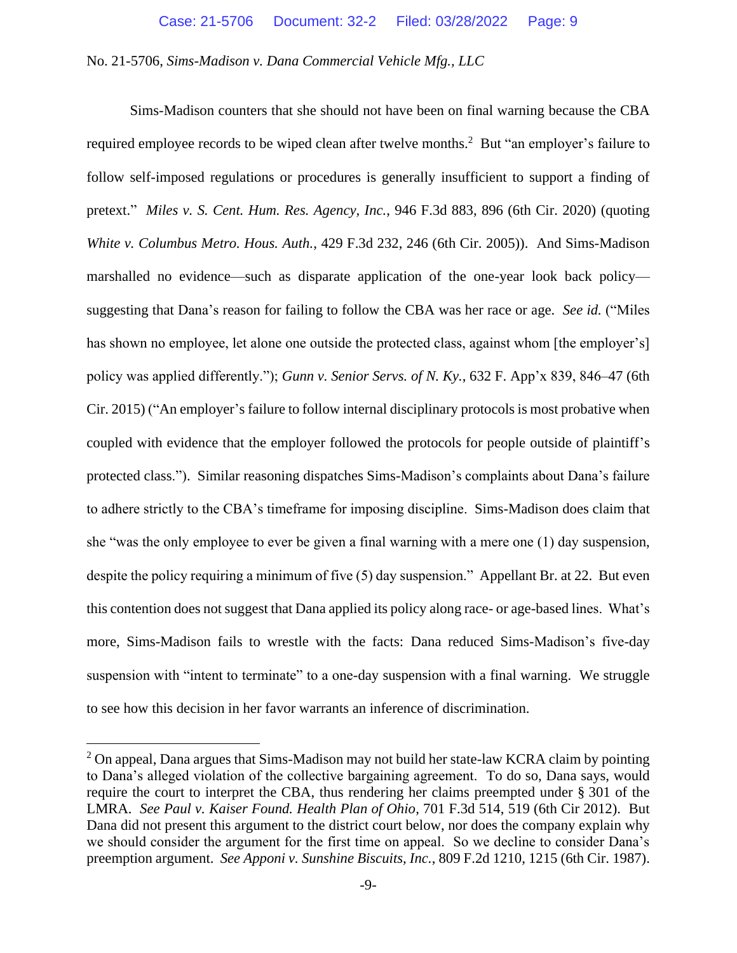Sims-Madison counters that she should not have been on final warning because the CBA required employee records to be wiped clean after twelve months.<sup>2</sup> But "an employer's failure to follow self-imposed regulations or procedures is generally insufficient to support a finding of pretext." *Miles v. S. Cent. Hum. Res. Agency, Inc.*, 946 F.3d 883, 896 (6th Cir. 2020) (quoting *White v. Columbus Metro. Hous. Auth.*, 429 F.3d 232, 246 (6th Cir. 2005)). And Sims-Madison marshalled no evidence—such as disparate application of the one-year look back policy suggesting that Dana's reason for failing to follow the CBA was her race or age. *See id.* ("Miles has shown no employee, let alone one outside the protected class, against whom [the employer's] policy was applied differently."); *Gunn v. Senior Servs. of N. Ky.*, 632 F. App'x 839, 846–47 (6th Cir. 2015) ("An employer's failure to follow internal disciplinary protocols is most probative when coupled with evidence that the employer followed the protocols for people outside of plaintiff's protected class."). Similar reasoning dispatches Sims-Madison's complaints about Dana's failure to adhere strictly to the CBA's timeframe for imposing discipline. Sims-Madison does claim that she "was the only employee to ever be given a final warning with a mere one (1) day suspension, despite the policy requiring a minimum of five (5) day suspension." Appellant Br. at 22. But even this contention does not suggest that Dana applied its policy along race- or age-based lines. What's more, Sims-Madison fails to wrestle with the facts: Dana reduced Sims-Madison's five-day suspension with "intent to terminate" to a one-day suspension with a final warning. We struggle to see how this decision in her favor warrants an inference of discrimination.

 $2$  On appeal, Dana argues that Sims-Madison may not build her state-law KCRA claim by pointing to Dana's alleged violation of the collective bargaining agreement. To do so, Dana says, would require the court to interpret the CBA, thus rendering her claims preempted under § 301 of the LMRA. *See Paul v. Kaiser Found. Health Plan of Ohio*, 701 F.3d 514, 519 (6th Cir 2012). But Dana did not present this argument to the district court below, nor does the company explain why we should consider the argument for the first time on appeal. So we decline to consider Dana's preemption argument. *See Apponi v. Sunshine Biscuits, Inc.*, 809 F.2d 1210, 1215 (6th Cir. 1987).